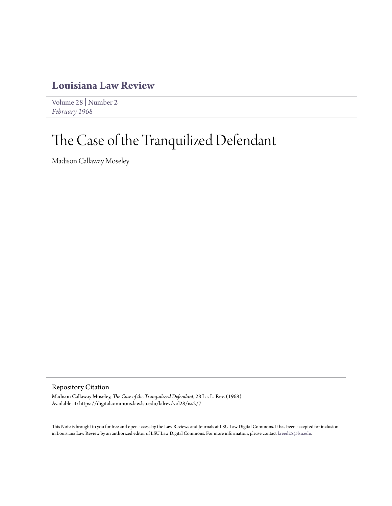## **[Louisiana Law Review](https://digitalcommons.law.lsu.edu/lalrev)**

[Volume 28](https://digitalcommons.law.lsu.edu/lalrev/vol28) | [Number 2](https://digitalcommons.law.lsu.edu/lalrev/vol28/iss2) *[February 1968](https://digitalcommons.law.lsu.edu/lalrev/vol28/iss2)*

## The Case of the Tranquilized Defendant

Madison Callaway Moseley

Repository Citation

Madison Callaway Moseley, *The Case of the Tranquilized Defendant*, 28 La. L. Rev. (1968) Available at: https://digitalcommons.law.lsu.edu/lalrev/vol28/iss2/7

This Note is brought to you for free and open access by the Law Reviews and Journals at LSU Law Digital Commons. It has been accepted for inclusion in Louisiana Law Review by an authorized editor of LSU Law Digital Commons. For more information, please contact [kreed25@lsu.edu](mailto:kreed25@lsu.edu).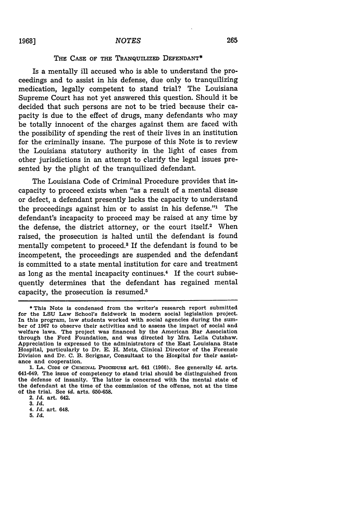## THE **CASE OF THE TRANQUILIZED DEFENDANT\***

Is a mentally ill accused who is able to understand the proceedings and to assist in his defense, due only to tranquilizing medication, legally competent to stand trial? The Louisiana Supreme Court has not yet answered this question. Should it be decided that such persons are not to be tried because their capacity is due to the effect of drugs, many defendants who may be totally innocent of the charges against them are faced with the possibility of spending the rest of their lives in an institution for the criminally insane. The purpose of this Note is to review the Louisiana statutory authority in the light of cases from other jurisdictions in an attempt to clarify the legal issues presented by the plight of the tranquilized defendant.

The Louisiana Code of Criminal Procedure provides that incapacity to proceed exists when "as a result of a mental disease or defect, a defendant presently lacks the capacity to understand the proceedings against him or to assist in his defense."' The defendant's incapacity to proceed may be raised at any time by the defense, the district attorney, or the court itself.<sup>2</sup> When raised, the prosecution is halted until the defendant is found mentally competent to proceed.<sup>3</sup> If the defendant is found to be incompetent, the proceedings are suspended and the defendant is committed to a state mental institution for care and treatment as long as the mental incapacity continues.<sup>4</sup> If the court subsequently determines that the defendant has regained mental capacity, the prosecution is resumed.<sup>5</sup>

<sup>\*</sup> This Note is condensed from the writer's research report submitted for the **LSU** Law School's fieldwork In modern social legislation project. In this program, law students worked with social agencies during the sum**ber** of **1967** to observe their activities and to assess the impact of social and welfare laws. The project was financed **by** the American Bar Association through the Ford Foundation, and was directed **by** Mrs. Leila Cutshaw. Appreciation is expressed to the administrators of the East Louisiana State Hospital, particularly to Dr. **E. H.** Metz, Clinical Director of the Forensic Division and Dr. **C. B.** Scrignar, Consultant to the Hospital for their assistance and cooperation.

**<sup>1.</sup> LA. CODE OF CRIMINAL PROCEDURE art.** 641 **(1966).** See generally *id.* **arts.** 641-649. The issue of competency to stand trial should be distinguished from the defense of insanity. The latter is concerned with the mental state of the defendant at the time of the commission of the offense, not at the time of the trial. See *id.* arts. 650-658.

<sup>2.</sup> *Id.* art. 642.

**<sup>3.</sup>** *Id.*

<sup>4.</sup> *Id.* art. 648.

**<sup>5.</sup>** *Id.*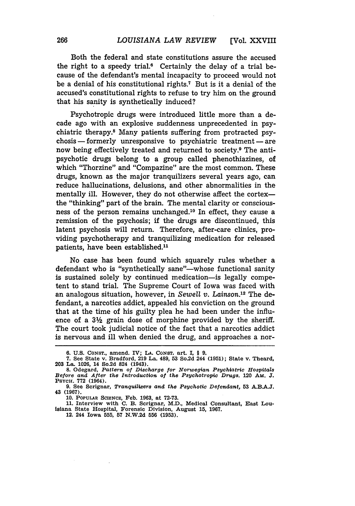Both the federal and state constitutions assure the accused the right to a speedy trial.<sup>6</sup> Certainly the delay of a trial because of the defendant's mental incapacity to proceed would not be a denial of his constitutional rights.7 But is it a denial of the accused's constitutional rights to refuse to try him on the ground that his sanity is synthetically induced?

Psychotropic drugs were introduced little more than a decade ago with an explosive suddenness unprecedented in psychiatric therapy.8 Many patients suffering from protracted psychosis **-** formerly unresponsive to psychiatric treatment **-** are now being effectively treated and returned to society.<sup>9</sup> The antipsychotic drugs belong to a group called phenothiazines, of which "Thorzine" and "Compazine" are the most common. These drugs, known as the major tranquilizers several years ago, can reduce hallucinations, delusions, and other abnormalities in the mentally ill. However, they do not otherwise affect the cortexthe "thinking" part of the brain. The mental clarity or consciousness of the person remains unchanged.<sup>10</sup> In effect, they cause a remission of the psychosis; **if** the drugs are discontinued, this latent psychosis will return. Therefore, after-care clinics, providing psychotherapy and tranquilizing medication for released patients, have been established.<sup>11</sup>

No case has been found which squarely rules whether a defendant who is "synthetically sane"—whose functional sanity is sustained solely **by** continued medication-is legally competent to stand trial. The Supreme Court of Iowa was faced with an analogous situation, however, in *Sewell v.* Lainson.12 The defendant, a narcotics addict, appealed his conviction on the ground that at the time of his guilty plea he had been under the influence of a **31/** grain dose of morphine provided **by** the sheriff. The court took judicial notice of the fact that a narcotics addict is nervous and ill when denied the drug, and approaches a nor-

12. 244 Iowa **555, 57 N.W.2d 556 (1953).**

**<sup>6.</sup> U.S. CONST.,** amend. IV; **LA. CONST.** art. I, **§ 9.**

**<sup>7.</sup>** See State v. Bradford, **219** La. 489, **53** So.2d 244 **(1951);** State v. Theard, **203** La. **1026,** 14 So.2d 824 (1943).

**<sup>8.</sup>** Odegard, *Pattern of Discharge for Norwegian Psychiatric Hospitals* Before and After the Introduction of the Psychotropic Drugs. 120 AM. **J**<br>Psych. 772 (1964).

<sup>9.</sup> See Scrignar, *Tranquilizers and the Psychotic Defendant,* **53** A.B.A.3. 43 (1967).

<sup>10.</sup> POPULAR SCIENCE, Feb. 1963, at 72-73.

<sup>11.</sup> Interview with **C.** B. Scrignar, M.D., Medical Consultant, East Louisiana State Hospital, Forensic Division, August **15,** 1967.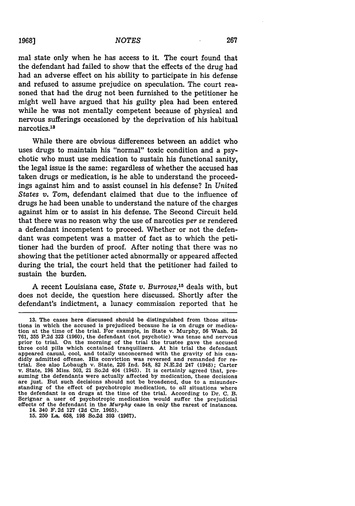mal state only when he has access to it. The court found that the defendant had failed to show that the effects of the drug had had an adverse effect on his ability to participate in his defense and refused to assume prejudice on speculation. The court reasoned that had the drug not been furnished to the petitioner he might well have argued that his guilty plea had been entered while he was not mentally competent because of physical and nervous sufferings occasioned by the deprivation of his habitual narcotics.<sup>13</sup>

While there are obvious differences between an addict who uses drugs to maintain his "normal" toxic condition and a psychotic who must use medication to sustain his functional sanity, the legal issue is the same: regardless of whether the accused has taken drugs or medication, is he able to understand the proceedings against him and to assist counsel in his defense? In *United States v. Tom,* defendant claimed that due to the influence of drugs he had been unable to understand the nature of the charges against him or to assist in his defense. The Second Circuit held that there was no reason why the use of narcotics *per* se rendered a defendant incompetent to proceed. Whether or not the defendant was competent was a matter of fact as to which the petitioner had the burden of proof. After noting that there was no showing that the petitioner acted abnormally or appeared affected during the trial, the court held that the petitioner had failed to sustain the burden.

A recent Louisiana case, *State v. Burrows,15* deals with, but does not decide, the question here discussed. Shortly after the defendant's indictment, a lunacy commission reported that he

**15. 250** La. **658, 198** So.2d **393 (1967).**

**<sup>13.</sup>** The cases here discussed should be distinguished from those situations in which the accused is prejudiced because he is on drugs or medication at the time of the trial. For example, in State v. Murphy, **56** Wash. **2d 761, 355 P.2d 323 (1960),** the defendant (not psychotic) was tense and nervous prior to trial. On the morning of the trial the trustee gave the accused three cold pills which centained tranquilizers. At his trial the defendant appeared casual, cool, and totally unconcerned with the gravity of his candidly admitted offense. His conviction was reversed and remanded for retrial. See also Lobaugh v. State, 226 Ind. 548, 82 N.E.2d 247 (1948); Carter v. State, 198 Miss. 503, 21 So.2d 404 (1945). It is certainly agreed that, are just. But such decisions should not be broadened, due to a misunderstanding of the effect of psychotropic medication, to *all* situations where the defendant is on drugs at the time of the trial. According to Dr. **C. B.** Scrignar a user of psychotropic medication would suffer the prejudicial effects of the defendant in the *Murphy* case in only the rarest of instances. 14. 340 F. **2d 127 (2d** Cir. **1965).**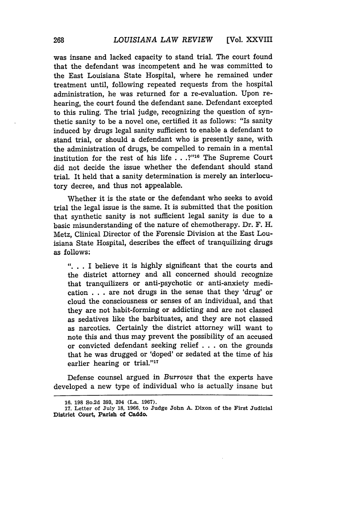was insane and lacked capacity to stand trial. The court found that the defendant was incompetent and he was committed to the East Louisiana State Hospital, where he remained under treatment until, following repeated requests from the hospital administration, he was returned for a re-evaluation. Upon rehearing, the court found the defendant sane. Defendant excepted to this ruling. The trial judge, recognizing the question of synthetic sanity to be a novel one, certified it as follows: "Is sanity induced **by** drugs legal sanity sufficient to enable a defendant to stand trial, or should a defendant who is presently sane, with the administration of drugs, be compelled to remain in a mental institution for the rest of his life . **.. ?"16** The Supreme Court did not decide the issue whether the defendant should stand trial. It held that a sanity determination is merely an interlocutory decree, and thus not appealable.

Whether it is the state or the defendant who seeks to avoid trial the legal issue is the same. It is submitted that the position that synthetic sanity is not sufficient legal sanity is due to a basic misunderstanding of the nature of chemotherapy. Dr. F. H. Metz, Clinical Director of the Forensic Division at the East Louisiana State Hospital, describes the effect of tranquilizing drugs as follows:

**". ..** I believe it is highly significant that the courts and the district attorney and all concerned should recognize that tranquilizers or anti-psychotic or anti-anxiety medication . . . are not drugs in the sense that they 'drug' or cloud the consciousness or senses of an individual, and that they are not habit-forming or addicting and are not classed as sedatives like the barbituates, and they are not classed as narcotics. Certainly the district attorney will want to note this and thus may prevent the possibility of an accused or convicted defendant seeking relief **. . .** on the grounds that he was drugged or 'doped' or sedated at the time of his earlier hearing or trial."<sup>17</sup>

Defense counsel argued in *Burrows* that the experts have developed a new type of individual who is actually insane but

**<sup>16. 198</sup> So.2d 393, 394 (La. 1967).**

**<sup>17.</sup> Letter of July 18, 1966, to Judge John A. Dixon of the First Judicial District Court, Parish of Caddo.**